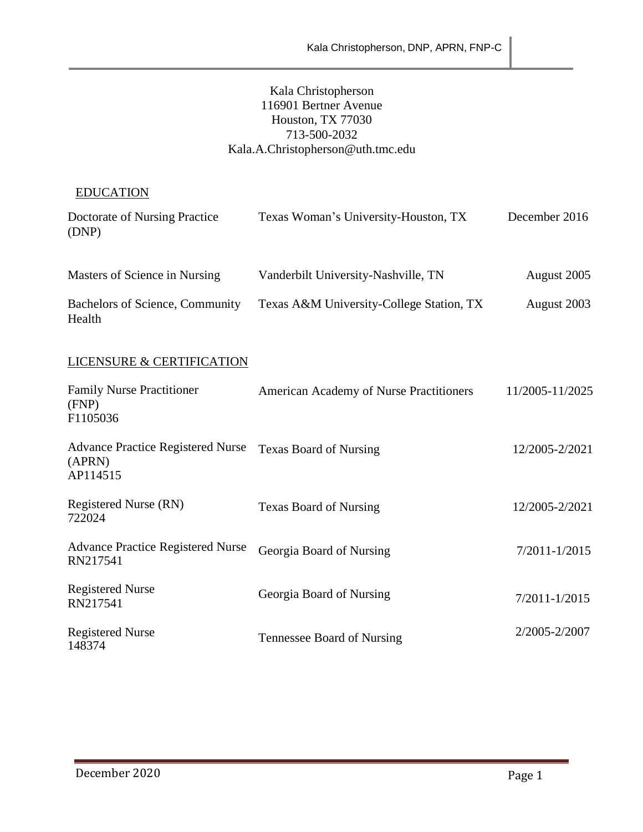### Kala Christopherson 116901 Bertner Avenue Houston, TX 77030 713-500-2032 Kala.A.Christopherson@uth.tmc.edu

# EDUCATION

| Doctorate of Nursing Practice<br>(DNP)    | Texas Woman's University-Houston, TX     | December 2016 |
|-------------------------------------------|------------------------------------------|---------------|
| Masters of Science in Nursing             | Vanderbilt University-Nashville, TN      | August 2005   |
| Bachelors of Science, Community<br>Health | Texas A&M University-College Station, TX | August 2003   |

# LICENSURE & CERTIFICATION

| <b>Family Nurse Practitioner</b><br>(FNP)<br>F1105036          | American Academy of Nurse Practitioners | 11/2005-11/2025   |
|----------------------------------------------------------------|-----------------------------------------|-------------------|
| <b>Advance Practice Registered Nurse</b><br>(APRN)<br>AP114515 | <b>Texas Board of Nursing</b>           | 12/2005-2/2021    |
| Registered Nurse (RN)<br>722024                                | <b>Texas Board of Nursing</b>           | 12/2005-2/2021    |
| <b>Advance Practice Registered Nurse</b><br>RN217541           | Georgia Board of Nursing                | $7/2011 - 1/2015$ |
| <b>Registered Nurse</b><br>RN217541                            | Georgia Board of Nursing                | $7/2011 - 1/2015$ |
| <b>Registered Nurse</b><br>148374                              | Tennessee Board of Nursing              | 2/2005-2/2007     |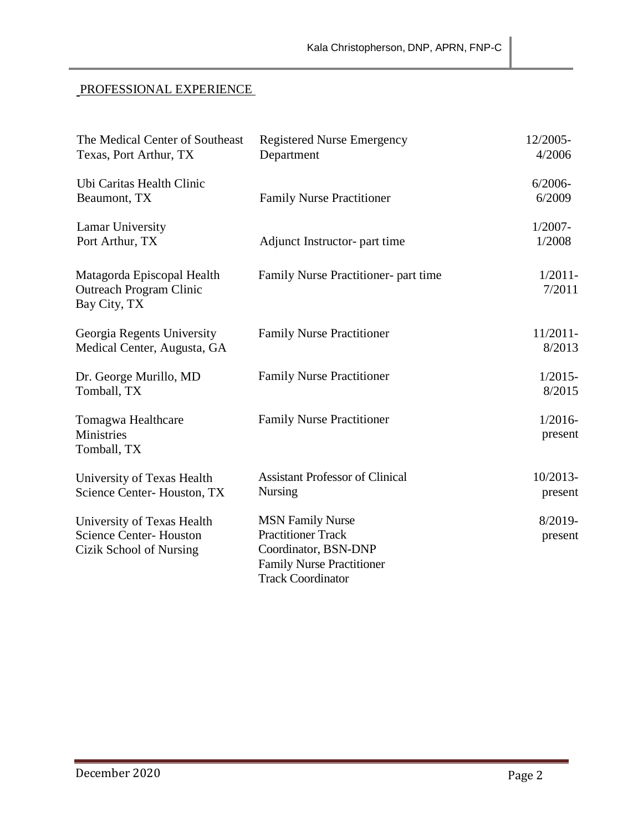# PROFESSIONAL EXPERIENCE

| The Medical Center of Southeast<br>Texas, Port Arthur, TX                              | <b>Registered Nurse Emergency</b><br>Department                                                                                              | 12/2005-<br>4/2006    |
|----------------------------------------------------------------------------------------|----------------------------------------------------------------------------------------------------------------------------------------------|-----------------------|
| Ubi Caritas Health Clinic<br>Beaumont, TX                                              | <b>Family Nurse Practitioner</b>                                                                                                             | $6/2006 -$<br>6/2009  |
| Lamar University<br>Port Arthur, TX                                                    | Adjunct Instructor- part time                                                                                                                | $1/2007 -$<br>1/2008  |
| Matagorda Episcopal Health<br><b>Outreach Program Clinic</b><br>Bay City, TX           | Family Nurse Practitioner- part time                                                                                                         | $1/2011$ -<br>7/2011  |
| Georgia Regents University<br>Medical Center, Augusta, GA                              | <b>Family Nurse Practitioner</b>                                                                                                             | $11/2011$ -<br>8/2013 |
| Dr. George Murillo, MD<br>Tomball, TX                                                  | <b>Family Nurse Practitioner</b>                                                                                                             | $1/2015 -$<br>8/2015  |
| Tomagwa Healthcare<br>Ministries<br>Tomball, TX                                        | <b>Family Nurse Practitioner</b>                                                                                                             | $1/2016-$<br>present  |
| University of Texas Health<br>Science Center-Houston, TX                               | <b>Assistant Professor of Clinical</b><br><b>Nursing</b>                                                                                     | 10/2013-<br>present   |
| University of Texas Health<br><b>Science Center-Houston</b><br>Cizik School of Nursing | <b>MSN Family Nurse</b><br><b>Practitioner Track</b><br>Coordinator, BSN-DNP<br><b>Family Nurse Practitioner</b><br><b>Track Coordinator</b> | 8/2019-<br>present    |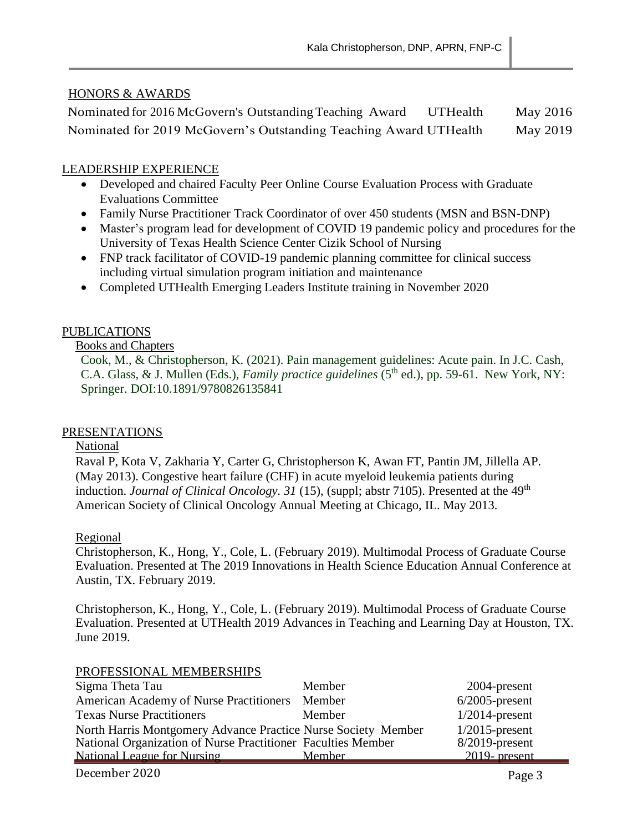### HONORS & AWARDS

| Nominated for 2016 McGovern's Outstanding Teaching Award          | UTHealth | May 2016 |
|-------------------------------------------------------------------|----------|----------|
| Nominated for 2019 McGovern's Outstanding Teaching Award UTHealth |          | May 2019 |

## LEADERSHIP EXPERIENCE

- Developed and chaired Faculty Peer Online Course Evaluation Process with Graduate Evaluations Committee
- Family Nurse Practitioner Track Coordinator of over 450 students (MSN and BSN-DNP)
- Master's program lead for development of COVID 19 pandemic policy and procedures for the University of Texas Health Science Center Cizik School of Nursing
- FNP track facilitator of COVID-19 pandemic planning committee for clinical success including virtual simulation program initiation and maintenance
- Completed UTHealth Emerging Leaders Institute training in November 2020

### PUBLICATIONS

#### Books and Chapters

Cook, M., & Christopherson, K. (2021). Pain management guidelines: Acute pain. In J.C. Cash, C.A. Glass, & J. Mullen (Eds.), *Family practice guidelines* ( $5<sup>th</sup>$  ed.), pp. 59-61. New York, NY: Springer. DOI:10.1891/9780826135841

#### PRESENTATIONS

#### National

Raval P, Kota V, Zakharia Y, Carter G, Christopherson K, Awan FT, Pantin JM, Jillella AP. (May 2013). Congestive heart failure (CHF) in acute myeloid leukemia patients during induction. *Journal of Clinical Oncology. 31* (15), (suppl; abstr 7105). Presented at the 49<sup>th</sup> American Society of Clinical Oncology Annual Meeting at Chicago, IL. May 2013.

#### Regional

Christopherson, K., Hong, Y., Cole, L. (February 2019). Multimodal Process of Graduate Course Evaluation. Presented at The 2019 Innovations in Health Science Education Annual Conference at Austin, TX. February 2019.

Christopherson, K., Hong, Y., Cole, L. (February 2019). Multimodal Process of Graduate Course Evaluation. Presented at UTHealth 2019 Advances in Teaching and Learning Day at Houston, TX. June 2019.

#### PROFESSIONAL MEMBERSHIPS

| Sigma Theta Tau                                               | Member | 2004-present      |
|---------------------------------------------------------------|--------|-------------------|
| <b>American Academy of Nurse Practitioners</b>                | Member | $6/2005$ -present |
| <b>Texas Nurse Practitioners</b>                              | Member | $1/2014$ -present |
| North Harris Montgomery Advance Practice Nurse Society Member |        | $1/2015$ -present |
| National Organization of Nurse Practitioner Faculties Member  |        | $8/2019$ -present |
| <b>National League for Nursing</b>                            | Member | $2019$ - present  |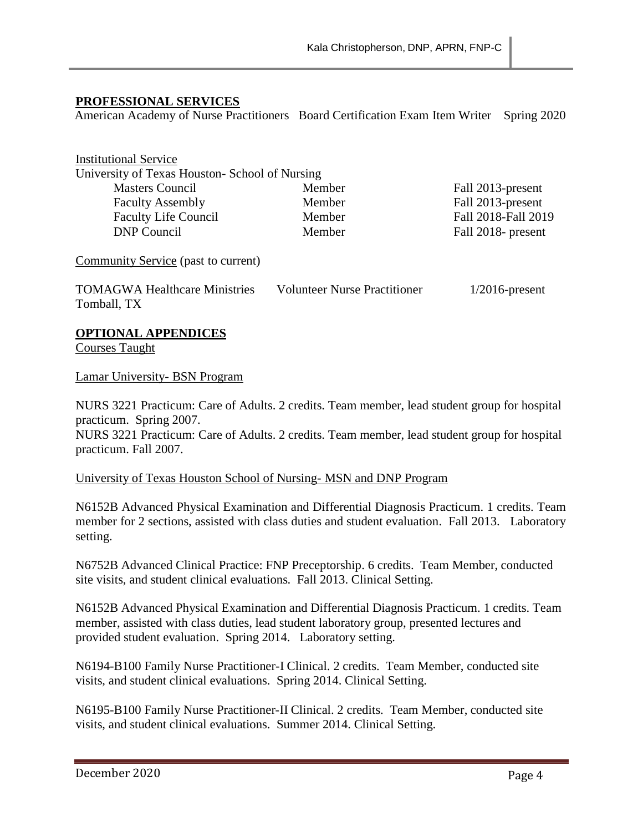#### **PROFESSIONAL SERVICES**

American Academy of Nurse Practitioners Board Certification Exam Item Writer Spring 2020

| <b>Institutional Service</b>                   |        |                     |
|------------------------------------------------|--------|---------------------|
| University of Texas Houston- School of Nursing |        |                     |
| <b>Masters Council</b>                         | Member | Fall 2013-present   |
| <b>Faculty Assembly</b>                        | Member | Fall 2013-present   |
| <b>Faculty Life Council</b>                    | Member | Fall 2018-Fall 2019 |
| <b>DNP</b> Council                             | Member | Fall 2018- present  |
|                                                |        |                     |
| Community Service (past to current)            |        |                     |

TOMAGWA Healthcare Ministries Volunteer Nurse Practitioner 1/2016-present Tomball, TX

#### **OPTIONAL APPENDICES**

Courses Taught

Lamar University- BSN Program

NURS 3221 Practicum: Care of Adults. 2 credits. Team member, lead student group for hospital practicum. Spring 2007.

NURS 3221 Practicum: Care of Adults. 2 credits. Team member, lead student group for hospital practicum. Fall 2007.

#### University of Texas Houston School of Nursing- MSN and DNP Program

N6152B Advanced Physical Examination and Differential Diagnosis Practicum. 1 credits. Team member for 2 sections, assisted with class duties and student evaluation. Fall 2013. Laboratory setting.

N6752B Advanced Clinical Practice: FNP Preceptorship. 6 credits. Team Member, conducted site visits, and student clinical evaluations. Fall 2013. Clinical Setting.

N6152B Advanced Physical Examination and Differential Diagnosis Practicum. 1 credits. Team member, assisted with class duties, lead student laboratory group, presented lectures and provided student evaluation. Spring 2014. Laboratory setting.

N6194-B100 Family Nurse Practitioner-I Clinical. 2 credits. Team Member, conducted site visits, and student clinical evaluations. Spring 2014. Clinical Setting.

N6195-B100 Family Nurse Practitioner-II Clinical. 2 credits. Team Member, conducted site visits, and student clinical evaluations. Summer 2014. Clinical Setting.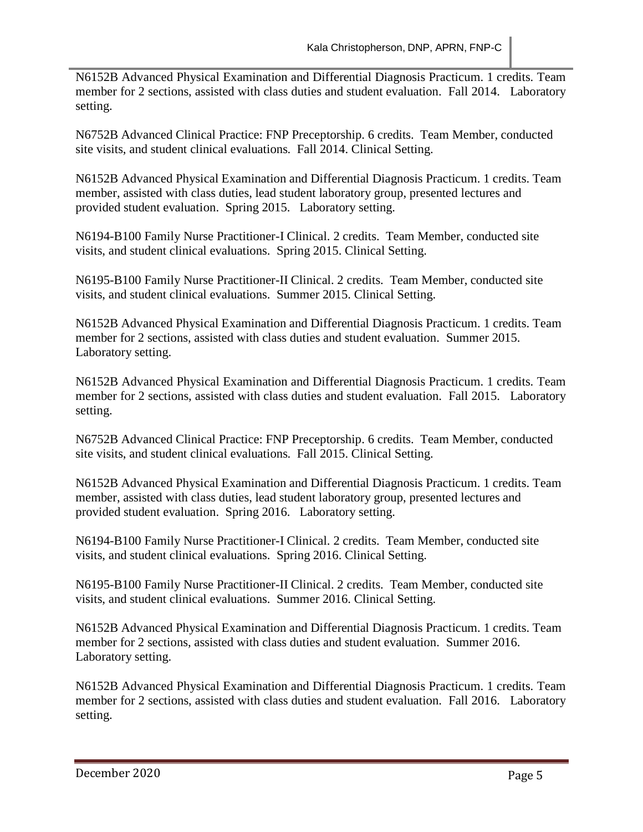N6152B Advanced Physical Examination and Differential Diagnosis Practicum. 1 credits. Team member for 2 sections, assisted with class duties and student evaluation. Fall 2014. Laboratory setting.

N6752B Advanced Clinical Practice: FNP Preceptorship. 6 credits. Team Member, conducted site visits, and student clinical evaluations. Fall 2014. Clinical Setting.

N6152B Advanced Physical Examination and Differential Diagnosis Practicum. 1 credits. Team member, assisted with class duties, lead student laboratory group, presented lectures and provided student evaluation. Spring 2015. Laboratory setting.

N6194-B100 Family Nurse Practitioner-I Clinical. 2 credits. Team Member, conducted site visits, and student clinical evaluations. Spring 2015. Clinical Setting.

N6195-B100 Family Nurse Practitioner-II Clinical. 2 credits. Team Member, conducted site visits, and student clinical evaluations. Summer 2015. Clinical Setting.

N6152B Advanced Physical Examination and Differential Diagnosis Practicum. 1 credits. Team member for 2 sections, assisted with class duties and student evaluation. Summer 2015. Laboratory setting.

N6152B Advanced Physical Examination and Differential Diagnosis Practicum. 1 credits. Team member for 2 sections, assisted with class duties and student evaluation. Fall 2015. Laboratory setting.

N6752B Advanced Clinical Practice: FNP Preceptorship. 6 credits. Team Member, conducted site visits, and student clinical evaluations. Fall 2015. Clinical Setting.

N6152B Advanced Physical Examination and Differential Diagnosis Practicum. 1 credits. Team member, assisted with class duties, lead student laboratory group, presented lectures and provided student evaluation. Spring 2016. Laboratory setting.

N6194-B100 Family Nurse Practitioner-I Clinical. 2 credits. Team Member, conducted site visits, and student clinical evaluations. Spring 2016. Clinical Setting.

N6195-B100 Family Nurse Practitioner-II Clinical. 2 credits. Team Member, conducted site visits, and student clinical evaluations. Summer 2016. Clinical Setting.

N6152B Advanced Physical Examination and Differential Diagnosis Practicum. 1 credits. Team member for 2 sections, assisted with class duties and student evaluation. Summer 2016. Laboratory setting.

N6152B Advanced Physical Examination and Differential Diagnosis Practicum. 1 credits. Team member for 2 sections, assisted with class duties and student evaluation. Fall 2016. Laboratory setting.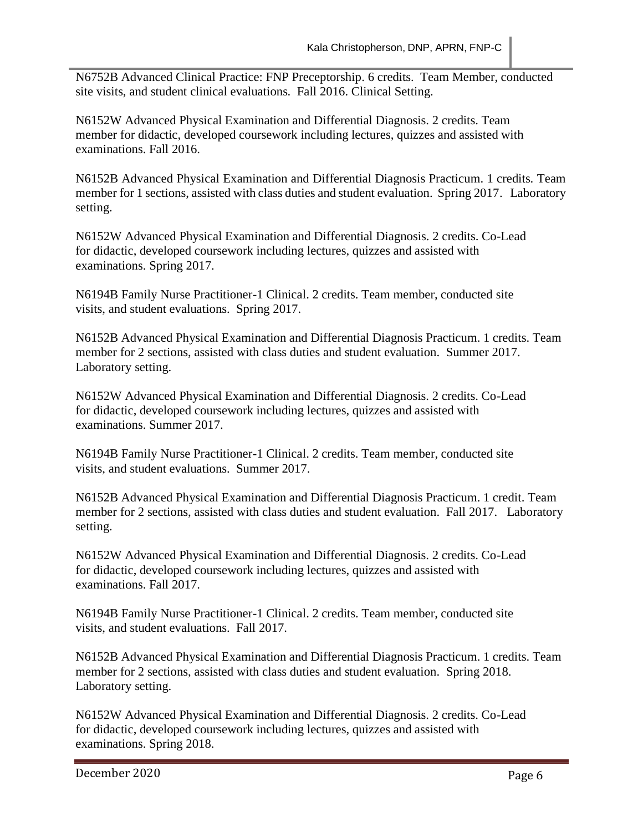N6752B Advanced Clinical Practice: FNP Preceptorship. 6 credits. Team Member, conducted site visits, and student clinical evaluations. Fall 2016. Clinical Setting.

N6152W Advanced Physical Examination and Differential Diagnosis. 2 credits. Team member for didactic, developed coursework including lectures, quizzes and assisted with examinations. Fall 2016.

N6152B Advanced Physical Examination and Differential Diagnosis Practicum. 1 credits. Team member for 1 sections, assisted with class duties and student evaluation. Spring 2017. Laboratory setting.

N6152W Advanced Physical Examination and Differential Diagnosis. 2 credits. Co-Lead for didactic, developed coursework including lectures, quizzes and assisted with examinations. Spring 2017.

N6194B Family Nurse Practitioner-1 Clinical. 2 credits. Team member, conducted site visits, and student evaluations. Spring 2017.

N6152B Advanced Physical Examination and Differential Diagnosis Practicum. 1 credits. Team member for 2 sections, assisted with class duties and student evaluation. Summer 2017. Laboratory setting.

N6152W Advanced Physical Examination and Differential Diagnosis. 2 credits. Co-Lead for didactic, developed coursework including lectures, quizzes and assisted with examinations. Summer 2017.

N6194B Family Nurse Practitioner-1 Clinical. 2 credits. Team member, conducted site visits, and student evaluations. Summer 2017.

N6152B Advanced Physical Examination and Differential Diagnosis Practicum. 1 credit. Team member for 2 sections, assisted with class duties and student evaluation. Fall 2017. Laboratory setting.

N6152W Advanced Physical Examination and Differential Diagnosis. 2 credits. Co-Lead for didactic, developed coursework including lectures, quizzes and assisted with examinations. Fall 2017.

N6194B Family Nurse Practitioner-1 Clinical. 2 credits. Team member, conducted site visits, and student evaluations. Fall 2017.

N6152B Advanced Physical Examination and Differential Diagnosis Practicum. 1 credits. Team member for 2 sections, assisted with class duties and student evaluation. Spring 2018. Laboratory setting.

N6152W Advanced Physical Examination and Differential Diagnosis. 2 credits. Co-Lead for didactic, developed coursework including lectures, quizzes and assisted with examinations. Spring 2018.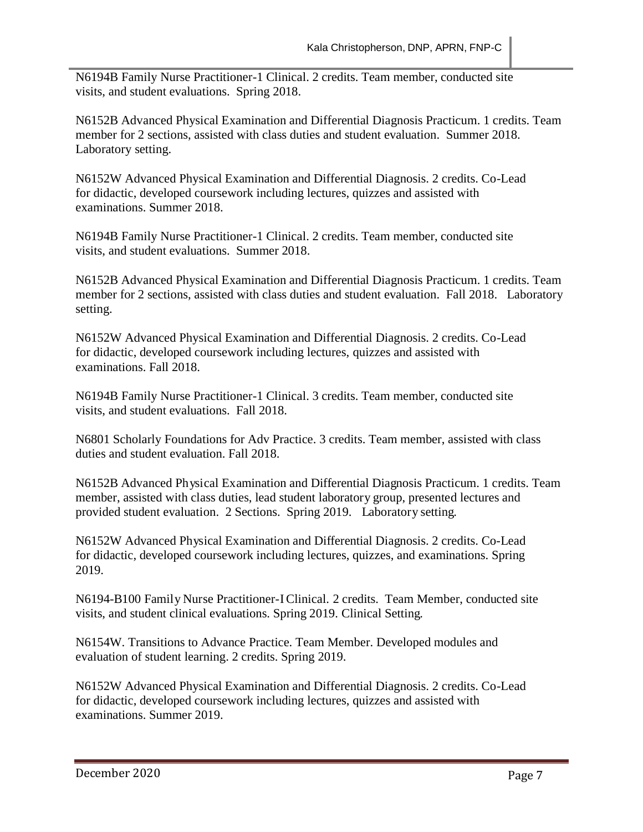N6194B Family Nurse Practitioner-1 Clinical. 2 credits. Team member, conducted site visits, and student evaluations. Spring 2018.

N6152B Advanced Physical Examination and Differential Diagnosis Practicum. 1 credits. Team member for 2 sections, assisted with class duties and student evaluation. Summer 2018. Laboratory setting.

N6152W Advanced Physical Examination and Differential Diagnosis. 2 credits. Co-Lead for didactic, developed coursework including lectures, quizzes and assisted with examinations. Summer 2018.

N6194B Family Nurse Practitioner-1 Clinical. 2 credits. Team member, conducted site visits, and student evaluations. Summer 2018.

N6152B Advanced Physical Examination and Differential Diagnosis Practicum. 1 credits. Team member for 2 sections, assisted with class duties and student evaluation. Fall 2018. Laboratory setting.

N6152W Advanced Physical Examination and Differential Diagnosis. 2 credits. Co-Lead for didactic, developed coursework including lectures, quizzes and assisted with examinations. Fall 2018.

N6194B Family Nurse Practitioner-1 Clinical. 3 credits. Team member, conducted site visits, and student evaluations. Fall 2018.

N6801 Scholarly Foundations for Adv Practice. 3 credits. Team member, assisted with class duties and student evaluation. Fall 2018.

N6152B Advanced Physical Examination and Differential Diagnosis Practicum. 1 credits. Team member, assisted with class duties, lead student laboratory group, presented lectures and provided student evaluation. 2 Sections. Spring 2019. Laboratory setting.

N6152W Advanced Physical Examination and Differential Diagnosis. 2 credits. Co-Lead for didactic, developed coursework including lectures, quizzes, and examinations. Spring 2019.

N6194-B100 Family Nurse Practitioner-IClinical. 2 credits. Team Member, conducted site visits, and student clinical evaluations. Spring 2019. Clinical Setting.

N6154W. Transitions to Advance Practice. Team Member. Developed modules and evaluation of student learning. 2 credits. Spring 2019.

N6152W Advanced Physical Examination and Differential Diagnosis. 2 credits. Co-Lead for didactic, developed coursework including lectures, quizzes and assisted with examinations. Summer 2019.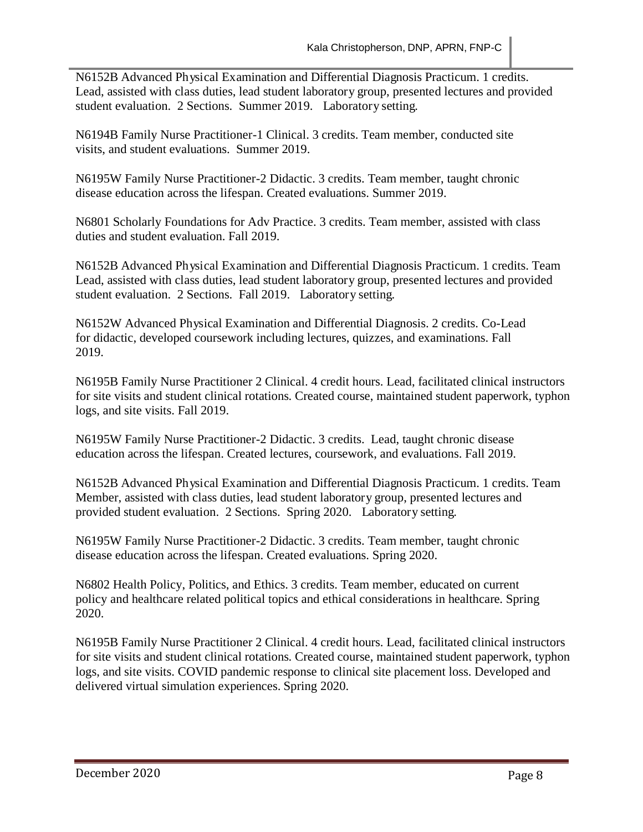N6152B Advanced Physical Examination and Differential Diagnosis Practicum. 1 credits. Lead, assisted with class duties, lead student laboratory group, presented lectures and provided student evaluation. 2 Sections. Summer 2019. Laboratory setting.

N6194B Family Nurse Practitioner-1 Clinical. 3 credits. Team member, conducted site visits, and student evaluations. Summer 2019.

N6195W Family Nurse Practitioner-2 Didactic. 3 credits. Team member, taught chronic disease education across the lifespan. Created evaluations. Summer 2019.

N6801 Scholarly Foundations for Adv Practice. 3 credits. Team member, assisted with class duties and student evaluation. Fall 2019.

N6152B Advanced Physical Examination and Differential Diagnosis Practicum. 1 credits. Team Lead, assisted with class duties, lead student laboratory group, presented lectures and provided student evaluation. 2 Sections. Fall 2019. Laboratory setting.

N6152W Advanced Physical Examination and Differential Diagnosis. 2 credits. Co-Lead for didactic, developed coursework including lectures, quizzes, and examinations. Fall 2019.

N6195B Family Nurse Practitioner 2 Clinical. 4 credit hours. Lead, facilitated clinical instructors for site visits and student clinical rotations. Created course, maintained student paperwork, typhon logs, and site visits. Fall 2019.

N6195W Family Nurse Practitioner-2 Didactic. 3 credits. Lead, taught chronic disease education across the lifespan. Created lectures, coursework, and evaluations. Fall 2019.

N6152B Advanced Physical Examination and Differential Diagnosis Practicum. 1 credits. Team Member, assisted with class duties, lead student laboratory group, presented lectures and provided student evaluation. 2 Sections. Spring 2020. Laboratory setting.

N6195W Family Nurse Practitioner-2 Didactic. 3 credits. Team member, taught chronic disease education across the lifespan. Created evaluations. Spring 2020.

N6802 Health Policy, Politics, and Ethics. 3 credits. Team member, educated on current policy and healthcare related political topics and ethical considerations in healthcare. Spring 2020.

N6195B Family Nurse Practitioner 2 Clinical. 4 credit hours. Lead, facilitated clinical instructors for site visits and student clinical rotations. Created course, maintained student paperwork, typhon logs, and site visits. COVID pandemic response to clinical site placement loss. Developed and delivered virtual simulation experiences. Spring 2020.